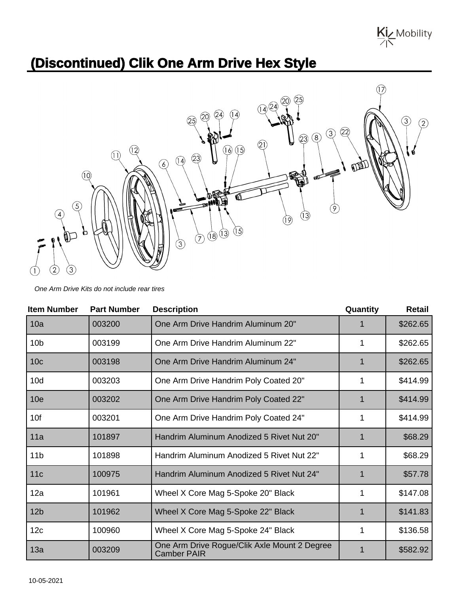Kiz Mobility

## **(Discontinued) Clik One Arm Drive Hex Style**



One Arm Drive Kits do not include rear tires

| <b>Item Number</b> | <b>Part Number</b> | <b>Description</b>                                                 | Quantity | <b>Retail</b> |
|--------------------|--------------------|--------------------------------------------------------------------|----------|---------------|
| 10a                | 003200             | One Arm Drive Handrim Aluminum 20"                                 |          | \$262.65      |
| 10 <sub>b</sub>    | 003199             | One Arm Drive Handrim Aluminum 22"                                 | 1        | \$262.65      |
| 10 <sub>c</sub>    | 003198             | One Arm Drive Handrim Aluminum 24"                                 |          | \$262.65      |
| 10d                | 003203             | One Arm Drive Handrim Poly Coated 20"                              | 1        | \$414.99      |
| 10 <sub>e</sub>    | 003202             | One Arm Drive Handrim Poly Coated 22"                              | 1        | \$414.99      |
| 10f                | 003201             | One Arm Drive Handrim Poly Coated 24"                              | 1        | \$414.99      |
| 11a                | 101897             | Handrim Aluminum Anodized 5 Rivet Nut 20"                          | 1        | \$68.29       |
| 11 <sub>b</sub>    | 101898             | Handrim Aluminum Anodized 5 Rivet Nut 22"                          | 1        | \$68.29       |
| 11c                | 100975             | Handrim Aluminum Anodized 5 Rivet Nut 24"                          | 1        | \$57.78       |
| 12a                | 101961             | Wheel X Core Mag 5-Spoke 20" Black                                 | 1        | \$147.08      |
| 12 <sub>b</sub>    | 101962             | Wheel X Core Mag 5-Spoke 22" Black                                 | 1        | \$141.83      |
| 12c                | 100960             | Wheel X Core Mag 5-Spoke 24" Black                                 | 1        | \$136.58      |
| 13a                | 003209             | One Arm Drive Rogue/Clik Axle Mount 2 Degree<br><b>Camber PAIR</b> | 1        | \$582.92      |